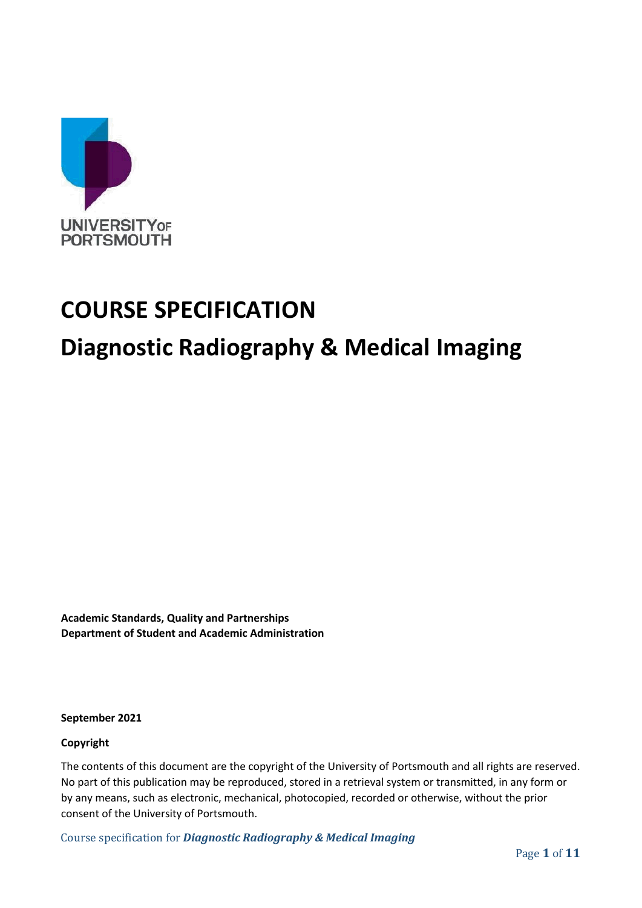

# **COURSE SPECIFICATION**

# **Diagnostic Radiography & Medical Imaging**

**Academic Standards, Quality and Partnerships Department of Student and Academic Administration**

**September 2021**

#### **Copyright**

The contents of this document are the copyright of the University of Portsmouth and all rights are reserved. No part of this publication may be reproduced, stored in a retrieval system or transmitted, in any form or by any means, such as electronic, mechanical, photocopied, recorded or otherwise, without the prior consent of the University of Portsmouth.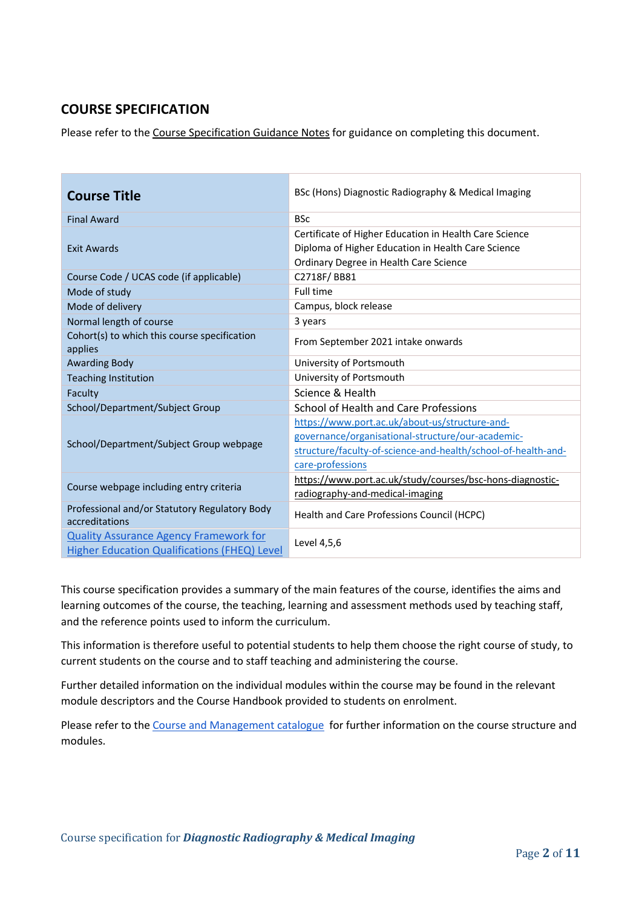# **COURSE SPECIFICATION**

Please refer to the [Course Specification Guidance Notes](http://www.port.ac.uk/departments/services/academicregistry/qmd/curriculum-framework-2019-20/filetodownload,201767,en.docx) for guidance on completing this document.

| <b>Course Title</b>                                                                           | BSc (Hons) Diagnostic Radiography & Medical Imaging                                                                                                                                      |
|-----------------------------------------------------------------------------------------------|------------------------------------------------------------------------------------------------------------------------------------------------------------------------------------------|
| <b>Final Award</b>                                                                            | <b>BSc</b>                                                                                                                                                                               |
| Exit Awards                                                                                   | Certificate of Higher Education in Health Care Science<br>Diploma of Higher Education in Health Care Science                                                                             |
|                                                                                               | Ordinary Degree in Health Care Science                                                                                                                                                   |
| Course Code / UCAS code (if applicable)                                                       | C2718F/BB81                                                                                                                                                                              |
| Mode of study                                                                                 | Full time                                                                                                                                                                                |
| Mode of delivery                                                                              | Campus, block release                                                                                                                                                                    |
| Normal length of course                                                                       | 3 years                                                                                                                                                                                  |
| Cohort(s) to which this course specification<br>applies                                       | From September 2021 intake onwards                                                                                                                                                       |
| <b>Awarding Body</b>                                                                          | University of Portsmouth                                                                                                                                                                 |
| <b>Teaching Institution</b>                                                                   | University of Portsmouth                                                                                                                                                                 |
| Faculty                                                                                       | Science & Health                                                                                                                                                                         |
| School/Department/Subject Group                                                               | School of Health and Care Professions                                                                                                                                                    |
| School/Department/Subject Group webpage                                                       | https://www.port.ac.uk/about-us/structure-and-<br>governance/organisational-structure/our-academic-<br>structure/faculty-of-science-and-health/school-of-health-and-<br>care-professions |
| Course webpage including entry criteria                                                       | https://www.port.ac.uk/study/courses/bsc-hons-diagnostic-<br>radiography-and-medical-imaging                                                                                             |
| Professional and/or Statutory Regulatory Body<br>accreditations                               | Health and Care Professions Council (HCPC)                                                                                                                                               |
| <b>Quality Assurance Agency Framework for</b><br>Higher Education Qualifications (FHEQ) Level | Level 4,5,6                                                                                                                                                                              |

This course specification provides a summary of the main features of the course, identifies the aims and learning outcomes of the course, the teaching, learning and assessment methods used by teaching staff, and the reference points used to inform the curriculum.

This information is therefore useful to potential students to help them choose the right course of study, to current students on the course and to staff teaching and administering the course.

Further detailed information on the individual modules within the course may be found in the relevant module descriptors and the Course Handbook provided to students on enrolment.

Please refer to the [Course and Management catalogue](https://course-module-catalog.port.ac.uk/#/welcome) for further information on the course structure and modules.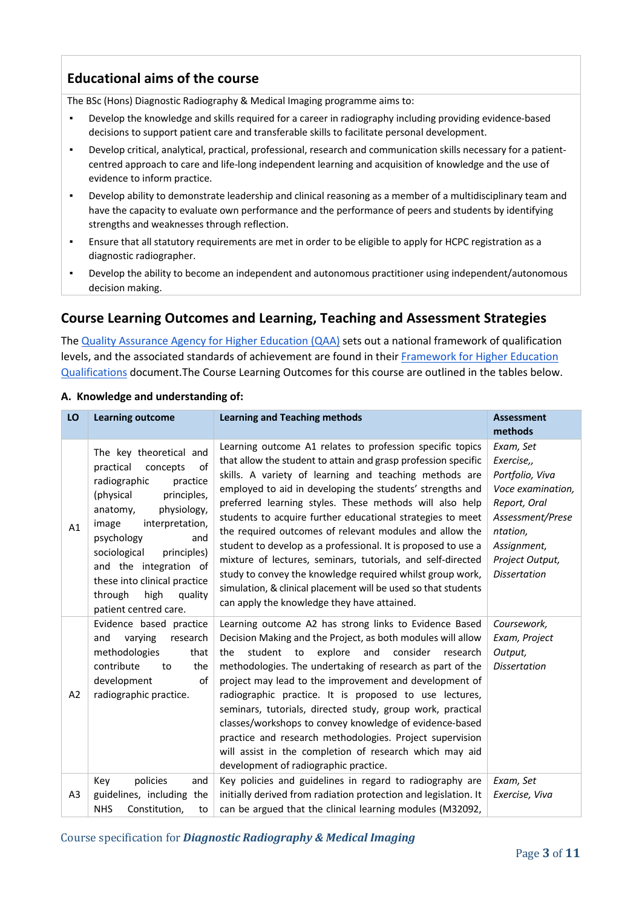# **Educational aims of the course**

The BSc (Hons) Diagnostic Radiography & Medical Imaging programme aims to:

- Develop the knowledge and skills required for a career in radiography including providing evidence-based decisions to support patient care and transferable skills to facilitate personal development.
- Develop critical, analytical, practical, professional, research and communication skills necessary for a patientcentred approach to care and life-long independent learning and acquisition of knowledge and the use of evidence to inform practice.
- Develop ability to demonstrate leadership and clinical reasoning as a member of a multidisciplinary team and have the capacity to evaluate own performance and the performance of peers and students by identifying strengths and weaknesses through reflection.
- Ensure that all statutory requirements are met in order to be eligible to apply for HCPC registration as a diagnostic radiographer.
- Develop the ability to become an independent and autonomous practitioner using independent/autonomous decision making.

### **Course Learning Outcomes and Learning, Teaching and Assessment Strategies**

The [Quality Assurance Agency for Higher Education \(QAA\)](http://www.qaa.ac.uk/en) sets out a national framework of qualification levels, and the associated standards of achievement are found in their [Framework for Higher Education](https://www.qaa.ac.uk/quality-code/higher-education-credit-framework-for-england)  [Qualifications](https://www.qaa.ac.uk/quality-code/higher-education-credit-framework-for-england) document.The Course Learning Outcomes for this course are outlined in the tables below.

| LO             | <b>Learning outcome</b>                                                                                                                                                                                                                                                                                                                    | <b>Learning and Teaching methods</b>                                                                                                                                                                                                                                                                                                                                                                                                                                                                                                                                                                                                                                                                                                                 | <b>Assessment</b><br>methods                                                                                                                                             |
|----------------|--------------------------------------------------------------------------------------------------------------------------------------------------------------------------------------------------------------------------------------------------------------------------------------------------------------------------------------------|------------------------------------------------------------------------------------------------------------------------------------------------------------------------------------------------------------------------------------------------------------------------------------------------------------------------------------------------------------------------------------------------------------------------------------------------------------------------------------------------------------------------------------------------------------------------------------------------------------------------------------------------------------------------------------------------------------------------------------------------------|--------------------------------------------------------------------------------------------------------------------------------------------------------------------------|
| A1             | The key theoretical and<br>of<br>practical<br>concepts<br>practice<br>radiographic<br>principles,<br>(physical<br>physiology,<br>anatomy,<br>image<br>interpretation,<br>psychology<br>and<br>sociological<br>principles)<br>and the integration of<br>these into clinical practice<br>through<br>high<br>quality<br>patient centred care. | Learning outcome A1 relates to profession specific topics<br>that allow the student to attain and grasp profession specific<br>skills. A variety of learning and teaching methods are<br>employed to aid in developing the students' strengths and<br>preferred learning styles. These methods will also help<br>students to acquire further educational strategies to meet<br>the required outcomes of relevant modules and allow the<br>student to develop as a professional. It is proposed to use a<br>mixture of lectures, seminars, tutorials, and self-directed<br>study to convey the knowledge required whilst group work,<br>simulation, & clinical placement will be used so that students<br>can apply the knowledge they have attained. | Exam, Set<br>Exercise,,<br>Portfolio, Viva<br>Voce examination,<br>Report, Oral<br>Assessment/Prese<br>ntation,<br>Assignment,<br>Project Output,<br><b>Dissertation</b> |
| A2             | Evidence based practice<br>varying<br>and<br>research<br>methodologies<br>that<br>contribute<br>the<br>to<br>development<br>of<br>radiographic practice.                                                                                                                                                                                   | Learning outcome A2 has strong links to Evidence Based<br>Decision Making and the Project, as both modules will allow<br>student to<br>explore<br>consider<br>the<br>and<br>research<br>methodologies. The undertaking of research as part of the<br>project may lead to the improvement and development of<br>radiographic practice. It is proposed to use lectures,<br>seminars, tutorials, directed study, group work, practical<br>classes/workshops to convey knowledge of evidence-based<br>practice and research methodologies. Project supervision<br>will assist in the completion of research which may aid<br>development of radiographic practice.                                                                                       | Coursework,<br>Exam, Project<br>Output,<br><b>Dissertation</b>                                                                                                           |
| A <sub>3</sub> | policies<br>Key<br>and<br>guidelines, including the<br><b>NHS</b><br>Constitution,<br>to                                                                                                                                                                                                                                                   | Key policies and guidelines in regard to radiography are<br>initially derived from radiation protection and legislation. It<br>can be argued that the clinical learning modules (M32092,                                                                                                                                                                                                                                                                                                                                                                                                                                                                                                                                                             | Exam, Set<br>Exercise, Viva                                                                                                                                              |

#### **A. Knowledge and understanding of:**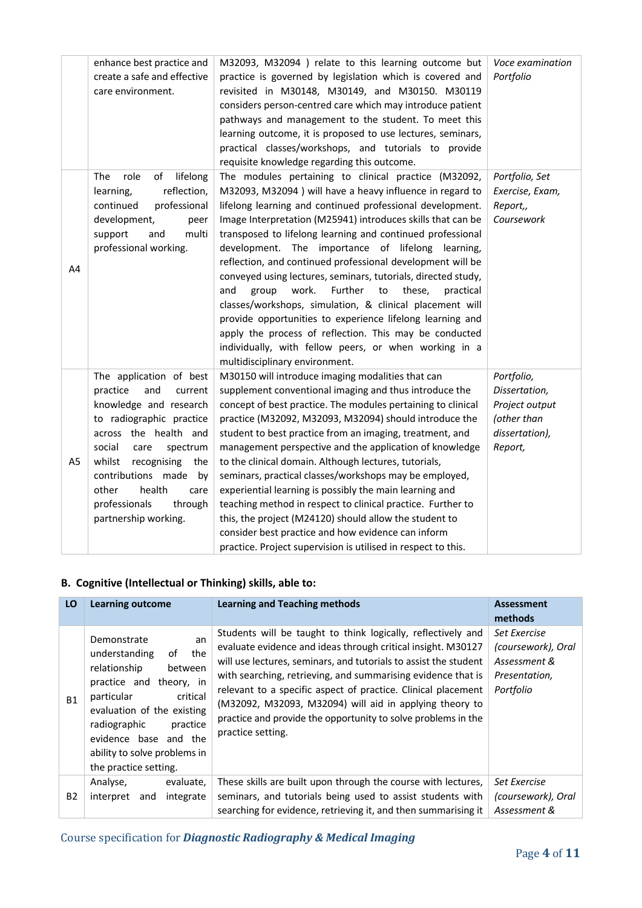|                | enhance best practice and<br>create a safe and effective<br>care environment.                                                                                                                                                                                                                                 | M32093, M32094 ) relate to this learning outcome but<br>practice is governed by legislation which is covered and<br>revisited in M30148, M30149, and M30150. M30119<br>considers person-centred care which may introduce patient<br>pathways and management to the student. To meet this<br>learning outcome, it is proposed to use lectures, seminars,<br>practical classes/workshops, and tutorials to provide<br>requisite knowledge regarding this outcome.                                                                                                                                                                                                                                                                                                                                                                                | Voce examination<br>Portfolio                                                             |
|----------------|---------------------------------------------------------------------------------------------------------------------------------------------------------------------------------------------------------------------------------------------------------------------------------------------------------------|------------------------------------------------------------------------------------------------------------------------------------------------------------------------------------------------------------------------------------------------------------------------------------------------------------------------------------------------------------------------------------------------------------------------------------------------------------------------------------------------------------------------------------------------------------------------------------------------------------------------------------------------------------------------------------------------------------------------------------------------------------------------------------------------------------------------------------------------|-------------------------------------------------------------------------------------------|
| A4             | The<br>role<br>of<br>lifelong<br>reflection,<br>learning,<br>professional<br>continued<br>development,<br>peer<br>support<br>and<br>multi<br>professional working.                                                                                                                                            | The modules pertaining to clinical practice (M32092,<br>M32093, M32094 ) will have a heavy influence in regard to<br>lifelong learning and continued professional development.<br>Image Interpretation (M25941) introduces skills that can be<br>transposed to lifelong learning and continued professional<br>development. The importance of lifelong learning,<br>reflection, and continued professional development will be<br>conveyed using lectures, seminars, tutorials, directed study,<br>work.<br>Further<br>to<br>these,<br>and<br>group<br>practical<br>classes/workshops, simulation, & clinical placement will<br>provide opportunities to experience lifelong learning and<br>apply the process of reflection. This may be conducted<br>individually, with fellow peers, or when working in a<br>multidisciplinary environment. | Portfolio, Set<br>Exercise, Exam,<br>Report,,<br>Coursework                               |
| A <sub>5</sub> | The application of best<br>practice<br>and<br>current<br>knowledge and research<br>to radiographic practice<br>across the health and<br>social<br>care<br>spectrum<br>recognising<br>whilst<br>the<br>contributions made<br>by<br>health<br>other<br>care<br>professionals<br>through<br>partnership working. | M30150 will introduce imaging modalities that can<br>supplement conventional imaging and thus introduce the<br>concept of best practice. The modules pertaining to clinical<br>practice (M32092, M32093, M32094) should introduce the<br>student to best practice from an imaging, treatment, and<br>management perspective and the application of knowledge<br>to the clinical domain. Although lectures, tutorials,<br>seminars, practical classes/workshops may be employed,<br>experiential learning is possibly the main learning and<br>teaching method in respect to clinical practice. Further to<br>this, the project (M24120) should allow the student to<br>consider best practice and how evidence can inform<br>practice. Project supervision is utilised in respect to this.                                                     | Portfolio,<br>Dissertation,<br>Project output<br>(other than<br>dissertation),<br>Report, |

#### **B. Cognitive (Intellectual or Thinking) skills, able to:**

| LO        | <b>Learning outcome</b>                                                                                                                                                                                                                                                     | <b>Learning and Teaching methods</b>                                                                                                                                                                                                                                                                                                                                                                                                                                               | <b>Assessment</b><br>methods                                                     |
|-----------|-----------------------------------------------------------------------------------------------------------------------------------------------------------------------------------------------------------------------------------------------------------------------------|------------------------------------------------------------------------------------------------------------------------------------------------------------------------------------------------------------------------------------------------------------------------------------------------------------------------------------------------------------------------------------------------------------------------------------------------------------------------------------|----------------------------------------------------------------------------------|
| <b>B1</b> | Demonstrate<br>an<br>οf<br>understanding<br>the<br>relationship<br>between<br>practice and theory, in<br>particular<br>critical<br>evaluation of the existing<br>radiographic<br>practice<br>evidence base and the<br>ability to solve problems in<br>the practice setting. | Students will be taught to think logically, reflectively and<br>evaluate evidence and ideas through critical insight. M30127<br>will use lectures, seminars, and tutorials to assist the student<br>with searching, retrieving, and summarising evidence that is<br>relevant to a specific aspect of practice. Clinical placement<br>(M32092, M32093, M32094) will aid in applying theory to<br>practice and provide the opportunity to solve problems in the<br>practice setting. | Set Exercise<br>(coursework), Oral<br>Assessment &<br>Presentation,<br>Portfolio |
| <b>B2</b> | Analyse,<br>evaluate,<br>integrate<br>interpret<br>and                                                                                                                                                                                                                      | These skills are built upon through the course with lectures,<br>seminars, and tutorials being used to assist students with                                                                                                                                                                                                                                                                                                                                                        | Set Exercise<br>(coursework), Oral                                               |
|           |                                                                                                                                                                                                                                                                             | searching for evidence, retrieving it, and then summarising it                                                                                                                                                                                                                                                                                                                                                                                                                     | Assessment &                                                                     |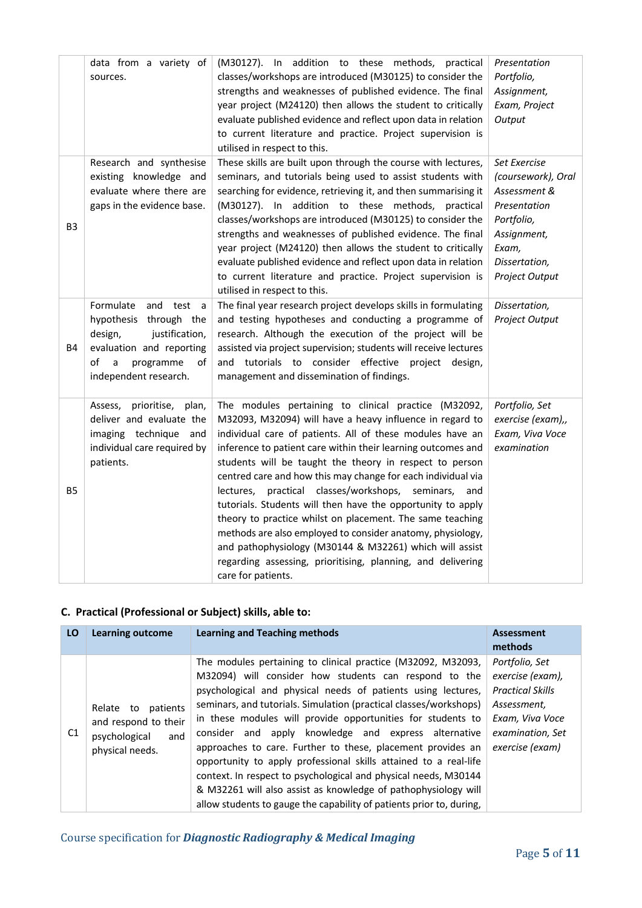|                | data from a variety of<br>sources.                                                                                                                                   | (M30127). In addition to these methods, practical<br>classes/workshops are introduced (M30125) to consider the<br>strengths and weaknesses of published evidence. The final<br>year project (M24120) then allows the student to critically<br>evaluate published evidence and reflect upon data in relation<br>to current literature and practice. Project supervision is<br>utilised in respect to this.                                                                                                                                                                                                                                                                                                                                                                     | Presentation<br>Portfolio,<br>Assignment,<br>Exam, Project<br>Output                                                                        |
|----------------|----------------------------------------------------------------------------------------------------------------------------------------------------------------------|-------------------------------------------------------------------------------------------------------------------------------------------------------------------------------------------------------------------------------------------------------------------------------------------------------------------------------------------------------------------------------------------------------------------------------------------------------------------------------------------------------------------------------------------------------------------------------------------------------------------------------------------------------------------------------------------------------------------------------------------------------------------------------|---------------------------------------------------------------------------------------------------------------------------------------------|
| B <sub>3</sub> | Research and synthesise<br>existing knowledge and<br>evaluate where there are<br>gaps in the evidence base.                                                          | These skills are built upon through the course with lectures,<br>seminars, and tutorials being used to assist students with<br>searching for evidence, retrieving it, and then summarising it<br>(M30127). In addition to these methods, practical<br>classes/workshops are introduced (M30125) to consider the<br>strengths and weaknesses of published evidence. The final<br>year project (M24120) then allows the student to critically<br>evaluate published evidence and reflect upon data in relation<br>to current literature and practice. Project supervision is<br>utilised in respect to this.                                                                                                                                                                    | Set Exercise<br>(coursework), Oral<br>Assessment &<br>Presentation<br>Portfolio,<br>Assignment,<br>Exam,<br>Dissertation,<br>Project Output |
| <b>B4</b>      | Formulate<br>and<br>test a<br>hypothesis through the<br>justification,<br>design,<br>evaluation and reporting<br>of<br>a<br>programme<br>οf<br>independent research. | The final year research project develops skills in formulating<br>and testing hypotheses and conducting a programme of<br>research. Although the execution of the project will be<br>assisted via project supervision; students will receive lectures<br>and tutorials to consider effective project design,<br>management and dissemination of findings.                                                                                                                                                                                                                                                                                                                                                                                                                     | Dissertation,<br>Project Output                                                                                                             |
| <b>B5</b>      | prioritise, plan,<br>Assess,<br>deliver and evaluate the<br>imaging technique and<br>individual care required by<br>patients.                                        | The modules pertaining to clinical practice (M32092,<br>M32093, M32094) will have a heavy influence in regard to<br>individual care of patients. All of these modules have an<br>inference to patient care within their learning outcomes and<br>students will be taught the theory in respect to person<br>centred care and how this may change for each individual via<br>practical classes/workshops, seminars, and<br>lectures,<br>tutorials. Students will then have the opportunity to apply<br>theory to practice whilst on placement. The same teaching<br>methods are also employed to consider anatomy, physiology,<br>and pathophysiology (M30144 & M32261) which will assist<br>regarding assessing, prioritising, planning, and delivering<br>care for patients. | Portfolio, Set<br>exercise (exam),,<br>Exam, Viva Voce<br>examination                                                                       |

### **C. Practical (Professional or Subject) skills, able to:**

| LO | <b>Learning outcome</b>                                                                  | <b>Learning and Teaching methods</b>                                                                                                                                                                                                                                                                                                                                                                                                                                                                                                                                                                                                                                                                                              | <b>Assessment</b><br>methods                                                                                                           |
|----|------------------------------------------------------------------------------------------|-----------------------------------------------------------------------------------------------------------------------------------------------------------------------------------------------------------------------------------------------------------------------------------------------------------------------------------------------------------------------------------------------------------------------------------------------------------------------------------------------------------------------------------------------------------------------------------------------------------------------------------------------------------------------------------------------------------------------------------|----------------------------------------------------------------------------------------------------------------------------------------|
| C1 | Relate to<br>patients<br>and respond to their<br>psychological<br>and<br>physical needs. | The modules pertaining to clinical practice (M32092, M32093,<br>M32094) will consider how students can respond to the<br>psychological and physical needs of patients using lectures,<br>seminars, and tutorials. Simulation (practical classes/workshops)<br>in these modules will provide opportunities for students to<br>consider and apply knowledge and express alternative<br>approaches to care. Further to these, placement provides an<br>opportunity to apply professional skills attained to a real-life<br>context. In respect to psychological and physical needs, M30144<br>& M32261 will also assist as knowledge of pathophysiology will<br>allow students to gauge the capability of patients prior to, during, | Portfolio, Set<br>exercise (exam),<br><b>Practical Skills</b><br>Assessment,<br>Exam, Viva Voce<br>examination, Set<br>exercise (exam) |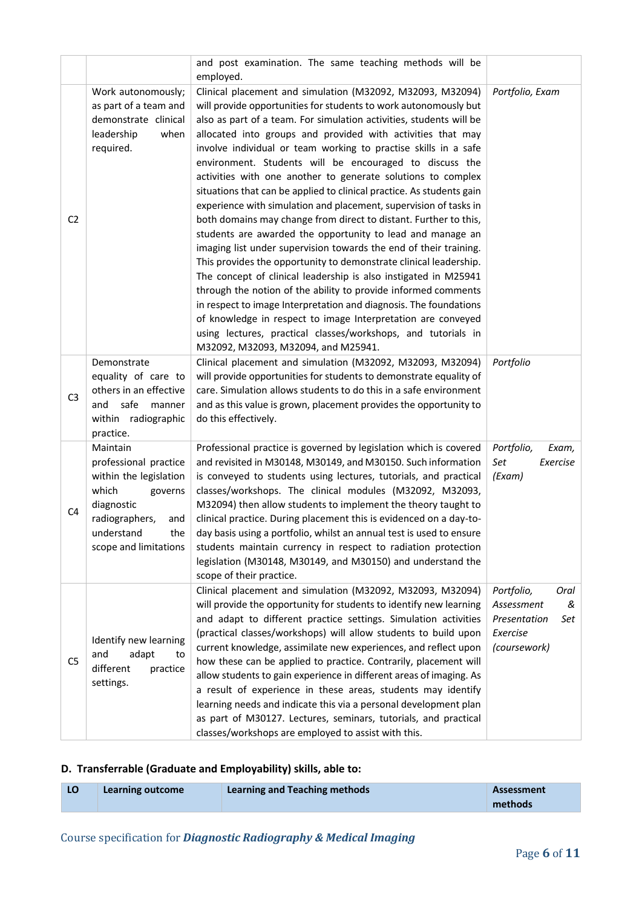|                |                                                                                                                                                                      | and post examination. The same teaching methods will be<br>employed.                                                                                                                                                                                                                                                                                                                                                                                                                                                                                                                                                                                                                                                                                                                                                                                                                                                                                                                                                                                                                                                                                                                                                                                                           |                                                                                          |
|----------------|----------------------------------------------------------------------------------------------------------------------------------------------------------------------|--------------------------------------------------------------------------------------------------------------------------------------------------------------------------------------------------------------------------------------------------------------------------------------------------------------------------------------------------------------------------------------------------------------------------------------------------------------------------------------------------------------------------------------------------------------------------------------------------------------------------------------------------------------------------------------------------------------------------------------------------------------------------------------------------------------------------------------------------------------------------------------------------------------------------------------------------------------------------------------------------------------------------------------------------------------------------------------------------------------------------------------------------------------------------------------------------------------------------------------------------------------------------------|------------------------------------------------------------------------------------------|
| C <sub>2</sub> | Work autonomously;<br>as part of a team and<br>demonstrate clinical<br>leadership<br>when<br>required.                                                               | Clinical placement and simulation (M32092, M32093, M32094)<br>will provide opportunities for students to work autonomously but<br>also as part of a team. For simulation activities, students will be<br>allocated into groups and provided with activities that may<br>involve individual or team working to practise skills in a safe<br>environment. Students will be encouraged to discuss the<br>activities with one another to generate solutions to complex<br>situations that can be applied to clinical practice. As students gain<br>experience with simulation and placement, supervision of tasks in<br>both domains may change from direct to distant. Further to this,<br>students are awarded the opportunity to lead and manage an<br>imaging list under supervision towards the end of their training.<br>This provides the opportunity to demonstrate clinical leadership.<br>The concept of clinical leadership is also instigated in M25941<br>through the notion of the ability to provide informed comments<br>in respect to image Interpretation and diagnosis. The foundations<br>of knowledge in respect to image Interpretation are conveyed<br>using lectures, practical classes/workshops, and tutorials in<br>M32092, M32093, M32094, and M25941. | Portfolio, Exam                                                                          |
| C <sub>3</sub> | Demonstrate<br>equality of care to<br>others in an effective<br>and<br>safe<br>manner<br>within radiographic<br>practice.                                            | Clinical placement and simulation (M32092, M32093, M32094)<br>will provide opportunities for students to demonstrate equality of<br>care. Simulation allows students to do this in a safe environment<br>and as this value is grown, placement provides the opportunity to<br>do this effectively.                                                                                                                                                                                                                                                                                                                                                                                                                                                                                                                                                                                                                                                                                                                                                                                                                                                                                                                                                                             | Portfolio                                                                                |
| C <sub>4</sub> | Maintain<br>professional practice<br>within the legislation<br>which<br>governs<br>diagnostic<br>radiographers,<br>and<br>understand<br>the<br>scope and limitations | Professional practice is governed by legislation which is covered<br>and revisited in M30148, M30149, and M30150. Such information<br>is conveyed to students using lectures, tutorials, and practical<br>classes/workshops. The clinical modules (M32092, M32093,<br>M32094) then allow students to implement the theory taught to<br>clinical practice. During placement this is evidenced on a day-to-<br>day basis using a portfolio, whilst an annual test is used to ensure<br>students maintain currency in respect to radiation protection<br>legislation (M30148, M30149, and M30150) and understand the<br>scope of their practice.                                                                                                                                                                                                                                                                                                                                                                                                                                                                                                                                                                                                                                  | Portfolio,<br>Exam,<br>Set<br>Exercise<br>(Exam)                                         |
| C <sub>5</sub> | Identify new learning<br>and<br>adapt<br>to<br>different<br>practice<br>settings.                                                                                    | Clinical placement and simulation (M32092, M32093, M32094)<br>will provide the opportunity for students to identify new learning<br>and adapt to different practice settings. Simulation activities<br>(practical classes/workshops) will allow students to build upon<br>current knowledge, assimilate new experiences, and reflect upon<br>how these can be applied to practice. Contrarily, placement will<br>allow students to gain experience in different areas of imaging. As<br>a result of experience in these areas, students may identify<br>learning needs and indicate this via a personal development plan<br>as part of M30127. Lectures, seminars, tutorials, and practical<br>classes/workshops are employed to assist with this.                                                                                                                                                                                                                                                                                                                                                                                                                                                                                                                             | Portfolio,<br>Oral<br>Assessment<br>&<br>Presentation<br>Set<br>Exercise<br>(coursework) |

### **D. Transferrable (Graduate and Employability) skills, able to:**

| Learning outcome | <b>Learning and Teaching methods</b> | Assessment |
|------------------|--------------------------------------|------------|
|                  |                                      | methods    |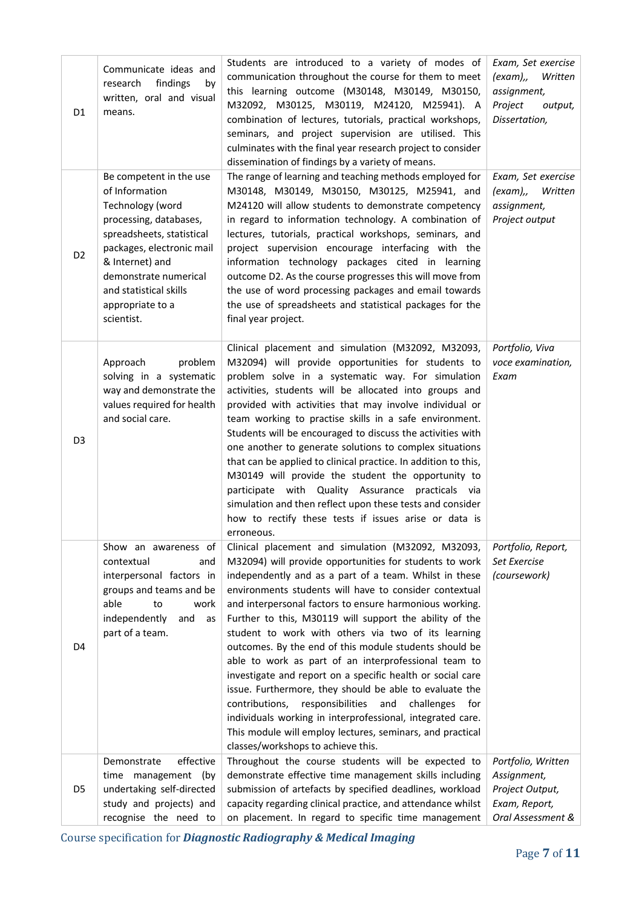| D1             | Communicate ideas and<br>findings<br>research<br>by<br>written, oral and visual<br>means.                                                                                                                                                                 | Students are introduced to a variety of modes of<br>communication throughout the course for them to meet<br>this learning outcome (M30148, M30149, M30150,<br>M32092, M30125, M30119, M24120, M25941). A<br>combination of lectures, tutorials, practical workshops,<br>seminars, and project supervision are utilised. This<br>culminates with the final year research project to consider<br>dissemination of findings by a variety of means.                                                                                                                                                                                                                                                                                                                                                                                                                                           | Exam, Set exercise<br>(exam),,<br>Written<br>assignment,<br>Project<br>output,<br>Dissertation, |
|----------------|-----------------------------------------------------------------------------------------------------------------------------------------------------------------------------------------------------------------------------------------------------------|-------------------------------------------------------------------------------------------------------------------------------------------------------------------------------------------------------------------------------------------------------------------------------------------------------------------------------------------------------------------------------------------------------------------------------------------------------------------------------------------------------------------------------------------------------------------------------------------------------------------------------------------------------------------------------------------------------------------------------------------------------------------------------------------------------------------------------------------------------------------------------------------|-------------------------------------------------------------------------------------------------|
| D <sub>2</sub> | Be competent in the use<br>of Information<br>Technology (word<br>processing, databases,<br>spreadsheets, statistical<br>packages, electronic mail<br>& Internet) and<br>demonstrate numerical<br>and statistical skills<br>appropriate to a<br>scientist. | The range of learning and teaching methods employed for<br>M30148, M30149, M30150, M30125, M25941, and<br>M24120 will allow students to demonstrate competency<br>in regard to information technology. A combination of<br>lectures, tutorials, practical workshops, seminars, and<br>project supervision encourage interfacing with the<br>information technology packages cited in learning<br>outcome D2. As the course progresses this will move from<br>the use of word processing packages and email towards<br>the use of spreadsheets and statistical packages for the<br>final year project.                                                                                                                                                                                                                                                                                     | Exam, Set exercise<br>(exam),, Written<br>assignment,<br>Project output                         |
| D <sub>3</sub> | problem<br>Approach<br>solving in a systematic<br>way and demonstrate the<br>values required for health<br>and social care.                                                                                                                               | Clinical placement and simulation (M32092, M32093,<br>M32094) will provide opportunities for students to<br>problem solve in a systematic way. For simulation<br>activities, students will be allocated into groups and<br>provided with activities that may involve individual or<br>team working to practise skills in a safe environment.<br>Students will be encouraged to discuss the activities with<br>one another to generate solutions to complex situations<br>that can be applied to clinical practice. In addition to this,<br>M30149 will provide the student the opportunity to<br>participate with Quality Assurance<br>practicals via<br>simulation and then reflect upon these tests and consider<br>how to rectify these tests if issues arise or data is<br>erroneous.                                                                                                 | Portfolio, Viva<br>voce examination,<br>Exam                                                    |
| D <sub>4</sub> | Show an awareness of<br>contextual<br>and<br>interpersonal factors in<br>groups and teams and be<br>able<br>to<br>work<br>independently<br>and<br>as<br>part of a team.                                                                                   | Clinical placement and simulation (M32092, M32093,<br>M32094) will provide opportunities for students to work<br>independently and as a part of a team. Whilst in these<br>environments students will have to consider contextual<br>and interpersonal factors to ensure harmonious working.<br>Further to this, M30119 will support the ability of the<br>student to work with others via two of its learning<br>outcomes. By the end of this module students should be<br>able to work as part of an interprofessional team to<br>investigate and report on a specific health or social care<br>issue. Furthermore, they should be able to evaluate the<br>contributions, responsibilities<br>and<br>challenges<br>for<br>individuals working in interprofessional, integrated care.<br>This module will employ lectures, seminars, and practical<br>classes/workshops to achieve this. | Portfolio, Report,<br>Set Exercise<br>(coursework)                                              |
| D5             | effective<br>Demonstrate<br>time management (by<br>undertaking self-directed<br>study and projects) and<br>recognise the need to                                                                                                                          | Throughout the course students will be expected to<br>demonstrate effective time management skills including<br>submission of artefacts by specified deadlines, workload<br>capacity regarding clinical practice, and attendance whilst<br>on placement. In regard to specific time management                                                                                                                                                                                                                                                                                                                                                                                                                                                                                                                                                                                            | Portfolio, Written<br>Assignment,<br>Project Output,<br>Exam, Report,<br>Oral Assessment &      |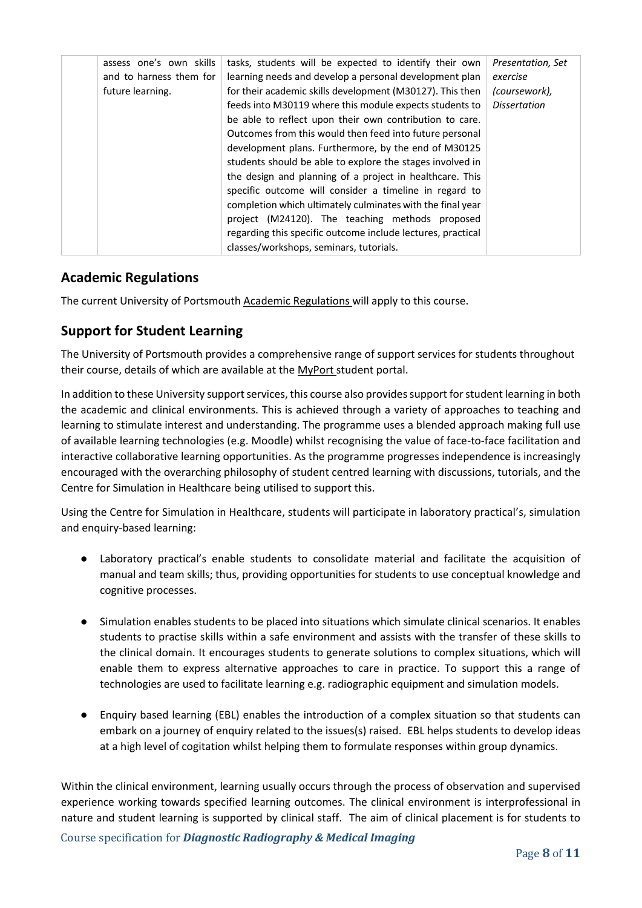| assess one's own skills<br>and to harness them for | tasks, students will be expected to identify their own<br>learning needs and develop a personal development plan | Presentation, Set<br>exercise |
|----------------------------------------------------|------------------------------------------------------------------------------------------------------------------|-------------------------------|
| future learning.                                   | for their academic skills development (M30127). This then                                                        | (coursework),                 |
|                                                    | feeds into M30119 where this module expects students to                                                          | <b>Dissertation</b>           |
|                                                    | be able to reflect upon their own contribution to care.                                                          |                               |
|                                                    | Outcomes from this would then feed into future personal                                                          |                               |
|                                                    | development plans. Furthermore, by the end of M30125                                                             |                               |
|                                                    | students should be able to explore the stages involved in                                                        |                               |
|                                                    | the design and planning of a project in healthcare. This                                                         |                               |
|                                                    | specific outcome will consider a timeline in regard to                                                           |                               |
|                                                    | completion which ultimately culminates with the final year                                                       |                               |
|                                                    | project (M24120). The teaching methods proposed                                                                  |                               |
|                                                    | regarding this specific outcome include lectures, practical                                                      |                               |
|                                                    | classes/workshops, seminars, tutorials.                                                                          |                               |

#### **Academic Regulations**

The current University of Portsmouth [Academic Regulations](http://policies.docstore.port.ac.uk/policy-107.pdf?_ga=2.44997668.1234197307.1599461794-2095434147.1584443378) will apply to this course.

#### **Support for Student Learning**

The University of Portsmouth provides a comprehensive range of support services for students throughout their course, details of which are available at the [MyPort](http://myport.ac.uk/) student portal.

In addition to these University support services, this course also provides support for student learning in both the academic and clinical environments. This is achieved through a variety of approaches to teaching and learning to stimulate interest and understanding. The programme uses a blended approach making full use of available learning technologies (e.g. Moodle) whilst recognising the value of face-to-face facilitation and interactive collaborative learning opportunities. As the programme progresses independence is increasingly encouraged with the overarching philosophy of student centred learning with discussions, tutorials, and the Centre for Simulation in Healthcare being utilised to support this.

Using the Centre for Simulation in Healthcare, students will participate in laboratory practical's, simulation and enquiry-based learning:

- Laboratory practical's enable students to consolidate material and facilitate the acquisition of manual and team skills; thus, providing opportunities for students to use conceptual knowledge and cognitive processes.
- Simulation enables students to be placed into situations which simulate clinical scenarios. It enables students to practise skills within a safe environment and assists with the transfer of these skills to the clinical domain. It encourages students to generate solutions to complex situations, which will enable them to express alternative approaches to care in practice. To support this a range of technologies are used to facilitate learning e.g. radiographic equipment and simulation models.
- Enquiry based learning (EBL) enables the introduction of a complex situation so that students can embark on a journey of enquiry related to the issues(s) raised. EBL helps students to develop ideas at a high level of cogitation whilst helping them to formulate responses within group dynamics.

Within the clinical environment, learning usually occurs through the process of observation and supervised experience working towards specified learning outcomes. The clinical environment is interprofessional in nature and student learning is supported by clinical staff. The aim of clinical placement is for students to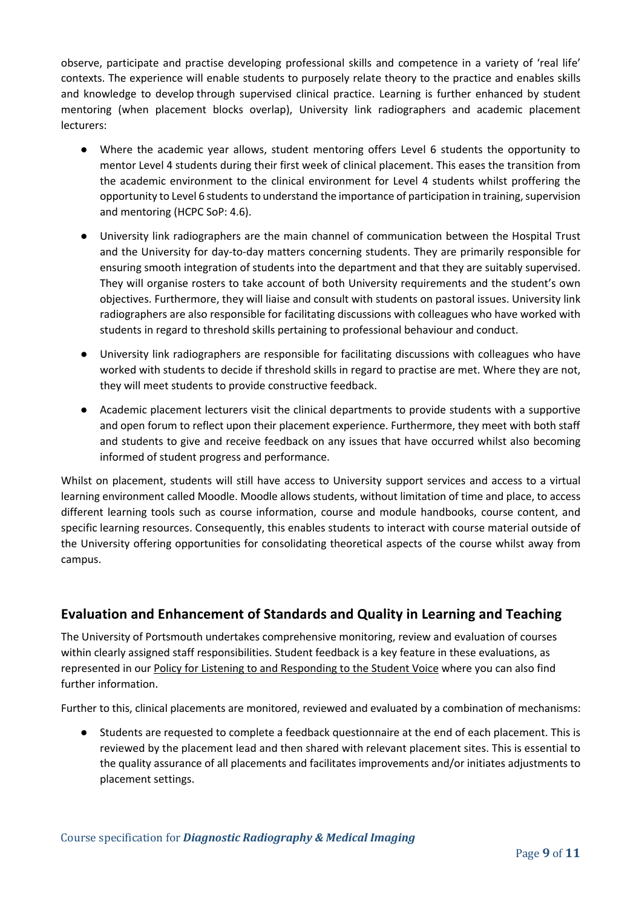observe, participate and practise developing professional skills and competence in a variety of 'real life' contexts. The experience will enable students to purposely relate theory to the practice and enables skills and knowledge to develop through supervised clinical practice. Learning is further enhanced by student mentoring (when placement blocks overlap), University link radiographers and academic placement lecturers:

- Where the academic year allows, student mentoring offers Level 6 students the opportunity to mentor Level 4 students during their first week of clinical placement. This eases the transition from the academic environment to the clinical environment for Level 4 students whilst proffering the opportunity to Level 6 students to understand the importance of participation in training, supervision and mentoring (HCPC SoP: 4.6).
- University link radiographers are the main channel of communication between the Hospital Trust and the University for day-to-day matters concerning students. They are primarily responsible for ensuring smooth integration of students into the department and that they are suitably supervised. They will organise rosters to take account of both University requirements and the student's own objectives. Furthermore, they will liaise and consult with students on pastoral issues. University link radiographers are also responsible for facilitating discussions with colleagues who have worked with students in regard to threshold skills pertaining to professional behaviour and conduct.
- University link radiographers are responsible for facilitating discussions with colleagues who have worked with students to decide if threshold skills in regard to practise are met. Where they are not, they will meet students to provide constructive feedback.
- Academic placement lecturers visit the clinical departments to provide students with a supportive and open forum to reflect upon their placement experience. Furthermore, they meet with both staff and students to give and receive feedback on any issues that have occurred whilst also becoming informed of student progress and performance.

Whilst on placement, students will still have access to University support services and access to a virtual learning environment called Moodle. Moodle allows students, without limitation of time and place, to access different learning tools such as course information, course and module handbooks, course content, and specific learning resources. Consequently, this enables students to interact with course material outside of the University offering opportunities for consolidating theoretical aspects of the course whilst away from campus.

#### **Evaluation and Enhancement of Standards and Quality in Learning and Teaching**

The University of Portsmouth undertakes comprehensive monitoring, review and evaluation of courses within clearly assigned staff responsibilities. Student feedback is a key feature in these evaluations, as represented in our [Policy for Listening to and Responding to the Student Voice](http://policies.docstore.port.ac.uk/policy-069.pdf) where you can also find further information.

Further to this, clinical placements are monitored, reviewed and evaluated by a combination of mechanisms:

● Students are requested to complete a feedback questionnaire at the end of each placement. This is reviewed by the placement lead and then shared with relevant placement sites. This is essential to the quality assurance of all placements and facilitates improvements and/or initiates adjustments to placement settings.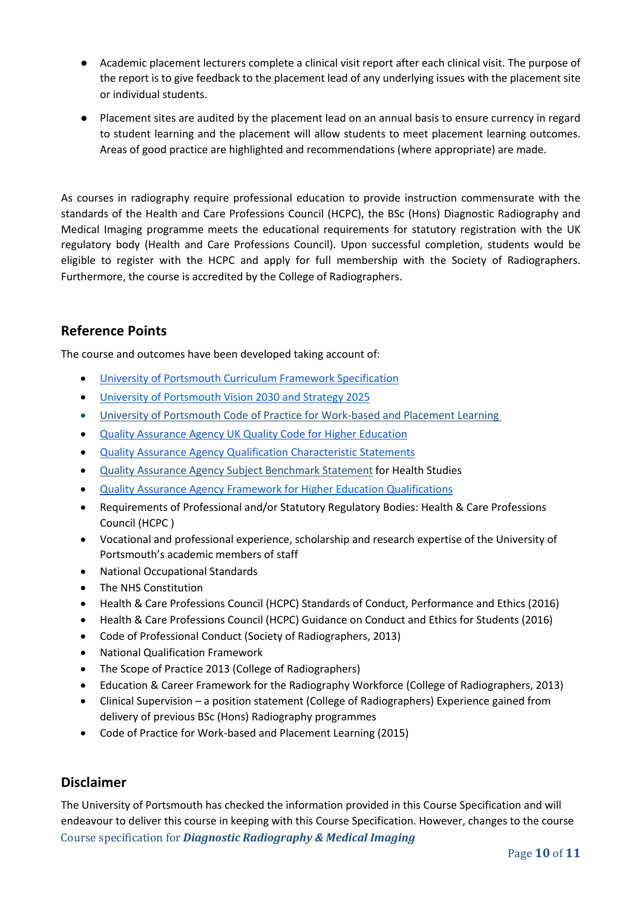- Academic placement lecturers complete a clinical visit report after each clinical visit. The purpose of the report is to give feedback to the placement lead of any underlying issues with the placement site or individual students.
- Placement sites are audited by the placement lead on an annual basis to ensure currency in regard to student learning and the placement will allow students to meet placement learning outcomes. Areas of good practice are highlighted and recommendations (where appropriate) are made.

As courses in radiography require professional education to provide instruction commensurate with the standards of the Health and Care Professions Council (HCPC), the BSc (Hons) Diagnostic Radiography and Medical Imaging programme meets the educational requirements for statutory registration with the UK regulatory body (Health and Care Professions Council). Upon successful completion, students would be eligible to register with the HCPC and apply for full membership with the Society of Radiographers. Furthermore, the course is accredited by the College of Radiographers.

#### **Reference Points**

The course and outcomes have been developed taking account of:

- [University of Portsmouth Curriculum Framework Specification](http://policies.docstore.port.ac.uk/policy-217.pdf?_ga=2.80596127.988573471.1600698712-86764541.1593710288)
- [University of Portsmouth Vision 2030 and Strategy 2025](https://www.port.ac.uk/about-us/our-ambition/our-strategy)
- [University of Portsmouth Code of Practice for Work-based and Placement Learning](http://policies.docstore.port.ac.uk/policy-151.pdf)
- [Quality Assurance Agency UK Quality Code for Higher Education](https://www.qaa.ac.uk/quality-code)
- [Quality Assurance Agency Qualification Characteristic Statements](https://www.qaa.ac.uk/quality-code/characteristics-statements)
- [Quality Assurance Agency Subject Benchmark Statement](https://www.qaa.ac.uk/docs/qaa/subject-benchmark-statements/subject-benchmark-statement-health-studies.pdf?sfvrsn=7a35c881_4) for Health Studies
- [Quality Assurance Agency Framework for Higher Education Qualifications](https://www.qaa.ac.uk/en/quality-code/qualifications-and-credit-frameworks)
- Requirements of Professional and/or Statutory Regulatory Bodies: Health & Care Professions Council (HCPC )
- Vocational and professional experience, scholarship and research expertise of the University of Portsmouth's academic members of staff
- National Occupational Standards
- The NHS Constitution
- Health & Care Professions Council (HCPC) Standards of Conduct, Performance and Ethics (2016)
- Health & Care Professions Council (HCPC) Guidance on Conduct and Ethics for Students (2016)
- Code of Professional Conduct (Society of Radiographers, 2013)
- National Qualification Framework
- The Scope of Practice 2013 (College of Radiographers)
- Education & Career Framework for the Radiography Workforce (College of Radiographers, 2013)
- Clinical Supervision a position statement (College of Radiographers) Experience gained from delivery of previous BSc (Hons) Radiography programmes
- Code of Practice for Work-based and Placement Learning (2015)

#### **Disclaimer**

Course specification for *Diagnostic Radiography & Medical Imaging* The University of Portsmouth has checked the information provided in this Course Specification and will endeavour to deliver this course in keeping with this Course Specification. However, changes to the course